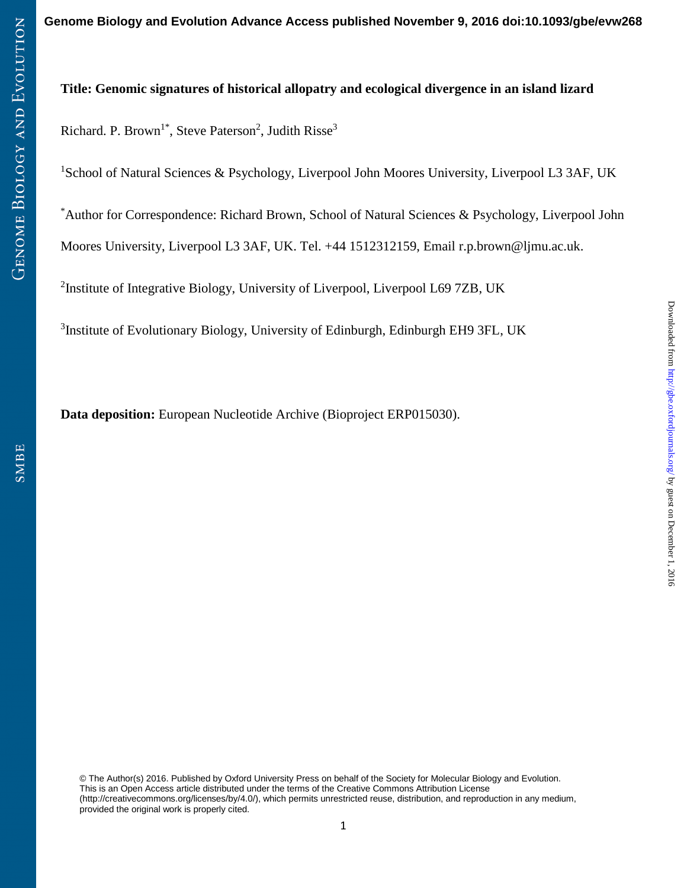# **Title: Genomic signatures of historical allopatry and ecological divergence in an island lizard**

Richard. P. Brown<sup>1\*</sup>, Steve Paterson<sup>2</sup>, Judith Risse<sup>3</sup>

<sup>1</sup>School of Natural Sciences & Psychology, Liverpool John Moores University, Liverpool L3 3AF, UK

\*Author for Correspondence: Richard Brown, School of Natural Sciences & Psychology, Liverpool John

Moores University, Liverpool L3 3AF, UK. Tel. +44 1512312159, Email r.p.brown@ljmu.ac.uk.

<sup>2</sup>Institute of Integrative Biology, University of Liverpool, Liverpool L69 7ZB, UK

<sup>3</sup>Institute of Evolutionary Biology, University of Edinburgh, Edinburgh EH9 3FL, UK

**Data deposition:** European Nucleotide Archive (Bioproject ERP015030).

© The Author(s) 2016. Published by Oxford University Press on behalf of the Society for Molecular Biology and Evolution. This is an Open Access article distributed under the terms of the Creative Commons Attribution License (http://creativecommons.org/licenses/by/4.0/), which permits unrestricted reuse, distribution, and reproduction in any medium, provided the original work is properly cited.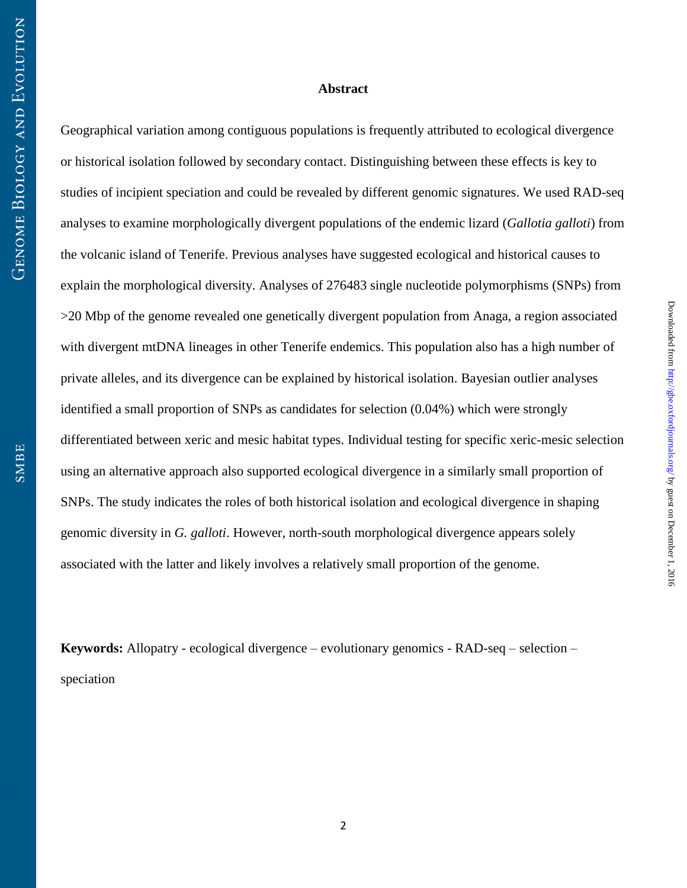## **Abstract**

Geographical variation among contiguous populations is frequently attributed to ecological divergence or historical isolation followed by secondary contact. Distinguishing between these effects is key to studies of incipient speciation and could be revealed by different genomic signatures. We used RAD-seq analyses to examine morphologically divergent populations of the endemic lizard (*Gallotia galloti*) from the volcanic island of Tenerife. Previous analyses have suggested ecological and historical causes to explain the morphological diversity. Analyses of 276483 single nucleotide polymorphisms (SNPs) from >20 Mbp of the genome revealed one genetically divergent population from Anaga, a region associated with divergent mtDNA lineages in other Tenerife endemics. This population also has a high number of private alleles, and its divergence can be explained by historical isolation. Bayesian outlier analyses identified a small proportion of SNPs as candidates for selection (0.04%) which were strongly differentiated between xeric and mesic habitat types. Individual testing for specific xeric-mesic selection using an alternative approach also supported ecological divergence in a similarly small proportion of SNPs. The study indicates the roles of both historical isolation and ecological divergence in shaping genomic diversity in *G. galloti*. However, north-south morphological divergence appears solely associated with the latter and likely involves a relatively small proportion of the genome.

**Keywords:** Allopatry - ecological divergence – evolutionary genomics - RAD-seq – selection – speciation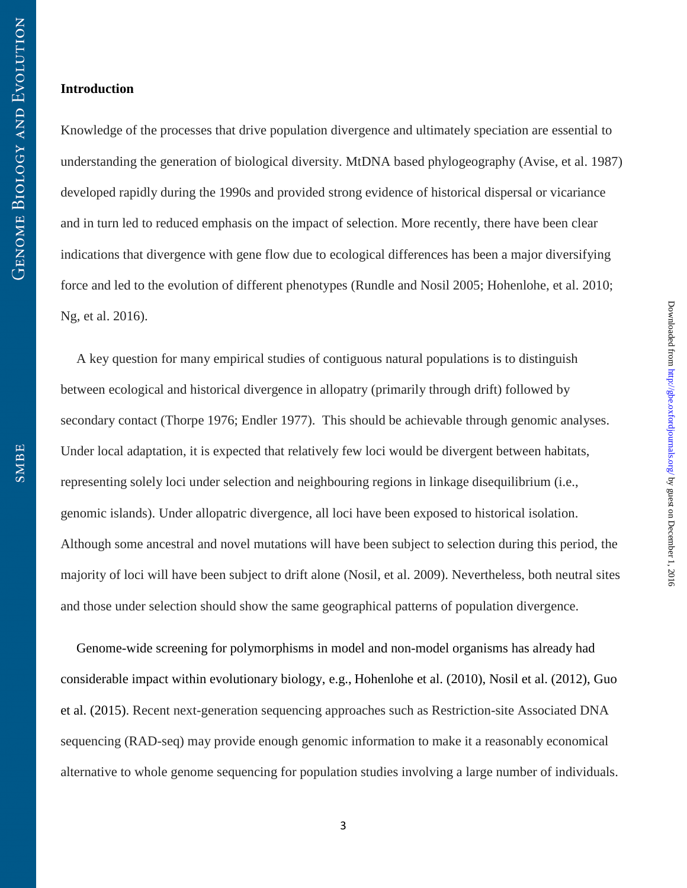## **Introduction**

Knowledge of the processes that drive population divergence and ultimately speciation are essential to understanding the generation of biological diversity. MtDNA based phylogeography (Avise, et al. 1987) developed rapidly during the 1990s and provided strong evidence of historical dispersal or vicariance and in turn led to reduced emphasis on the impact of selection. More recently, there have been clear indications that divergence with gene flow due to ecological differences has been a major diversifying force and led to the evolution of different phenotypes (Rundle and Nosil 2005; Hohenlohe, et al. 2010; Ng, et al. 2016).

A key question for many empirical studies of contiguous natural populations is to distinguish between ecological and historical divergence in allopatry (primarily through drift) followed by secondary contact (Thorpe 1976; Endler 1977). This should be achievable through genomic analyses. Under local adaptation, it is expected that relatively few loci would be divergent between habitats, representing solely loci under selection and neighbouring regions in linkage disequilibrium (i.e., genomic islands). Under allopatric divergence, all loci have been exposed to historical isolation. Although some ancestral and novel mutations will have been subject to selection during this period, the majority of loci will have been subject to drift alone (Nosil, et al. 2009). Nevertheless, both neutral sites and those under selection should show the same geographical patterns of population divergence.

Genome-wide screening for polymorphisms in model and non-model organisms has already had considerable impact within evolutionary biology, e.g., Hohenlohe et al. (2010), Nosil et al. (2012), Guo et al. (2015). Recent next-generation sequencing approaches such as Restriction-site Associated DNA sequencing (RAD-seq) may provide enough genomic information to make it a reasonably economical alternative to whole genome sequencing for population studies involving a large number of individuals.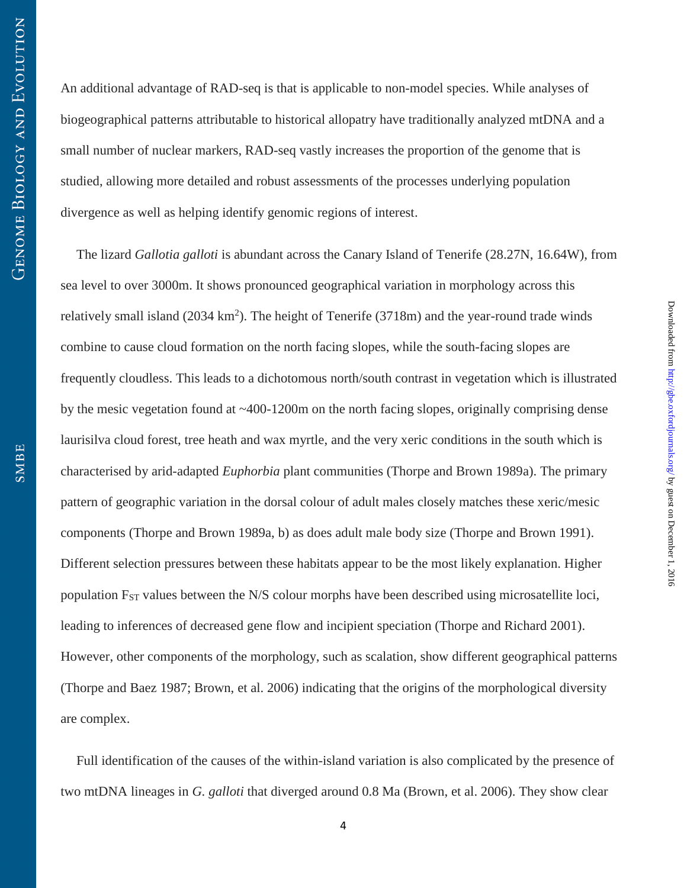An additional advantage of RAD-seq is that is applicable to non-model species. While analyses of biogeographical patterns attributable to historical allopatry have traditionally analyzed mtDNA and a small number of nuclear markers, RAD-seq vastly increases the proportion of the genome that is studied, allowing more detailed and robust assessments of the processes underlying population divergence as well as helping identify genomic regions of interest.

The lizard *Gallotia galloti* is abundant across the Canary Island of Tenerife (28.27N, 16.64W), from sea level to over 3000m. It shows pronounced geographical variation in morphology across this relatively small island  $(2034 \text{ km}^2)$ . The height of Tenerife  $(3718m)$  and the year-round trade winds combine to cause cloud formation on the north facing slopes, while the south-facing slopes are frequently cloudless. This leads to a dichotomous north/south contrast in vegetation which is illustrated by the mesic vegetation found at ~400-1200m on the north facing slopes, originally comprising dense laurisilva cloud forest, tree heath and wax myrtle, and the very xeric conditions in the south which is characterised by arid-adapted *Euphorbia* plant communities (Thorpe and Brown 1989a). The primary pattern of geographic variation in the dorsal colour of adult males closely matches these xeric/mesic components (Thorpe and Brown 1989a, b) as does adult male body size (Thorpe and Brown 1991). Different selection pressures between these habitats appear to be the most likely explanation. Higher population  $F_{ST}$  values between the N/S colour morphs have been described using microsatellite loci, leading to inferences of decreased gene flow and incipient speciation (Thorpe and Richard 2001). However, other components of the morphology, such as scalation, show different geographical patterns (Thorpe and Baez 1987; Brown, et al. 2006) indicating that the origins of the morphological diversity are complex.

 $Downloaded from [http://gbec.oxfordiounals.org/ by guest on December 1, 2016](http://gbec.oxfordiounals.org/)$ 

Downloaded from http://gbe.oxfordjournals.org/ by guest on December 1, 2016

Full identification of the causes of the within-island variation is also complicated by the presence of two mtDNA lineages in *G. galloti* that diverged around 0.8 Ma (Brown, et al. 2006). They show clear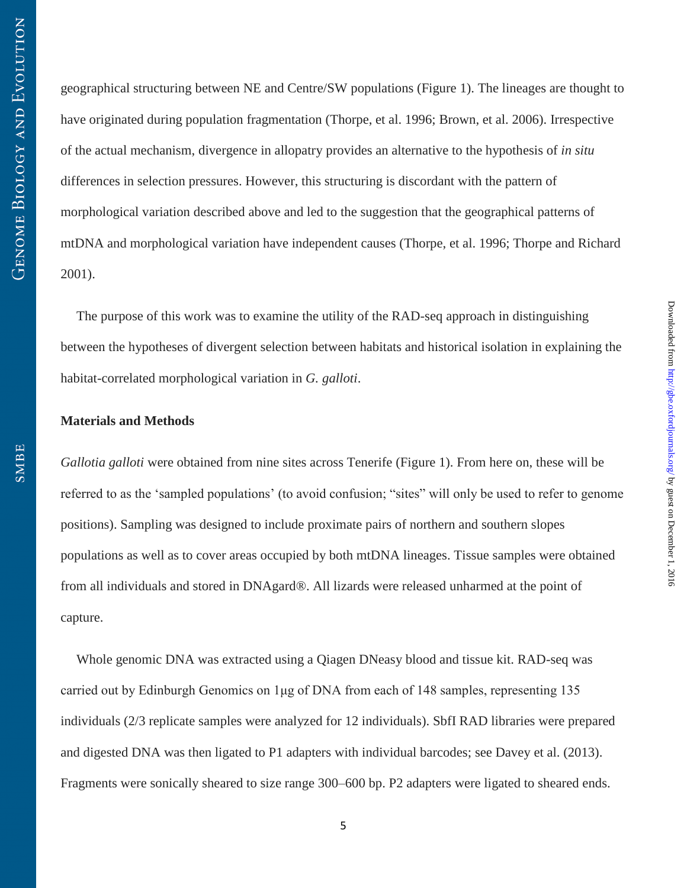geographical structuring between NE and Centre/SW populations (Figure 1). The lineages are thought to have originated during population fragmentation (Thorpe, et al. 1996; Brown, et al. 2006). Irrespective of the actual mechanism, divergence in allopatry provides an alternative to the hypothesis of *in situ* differences in selection pressures. However, this structuring is discordant with the pattern of morphological variation described above and led to the suggestion that the geographical patterns of mtDNA and morphological variation have independent causes (Thorpe, et al. 1996; Thorpe and Richard 2001).

The purpose of this work was to examine the utility of the RAD-seq approach in distinguishing between the hypotheses of divergent selection between habitats and historical isolation in explaining the habitat-correlated morphological variation in *G. galloti*.

#### **Materials and Methods**

*Gallotia galloti* were obtained from nine sites across Tenerife (Figure 1). From here on, these will be referred to as the 'sampled populations' (to avoid confusion; "sites" will only be used to refer to genome positions). Sampling was designed to include proximate pairs of northern and southern slopes populations as well as to cover areas occupied by both mtDNA lineages. Tissue samples were obtained from all individuals and stored in DNAgard®. All lizards were released unharmed at the point of capture.

Whole genomic DNA was extracted using a Qiagen DNeasy blood and tissue kit. RAD-seq was carried out by Edinburgh Genomics on 1μg of DNA from each of 148 samples, representing 135 individuals (2/3 replicate samples were analyzed for 12 individuals). SbfI RAD libraries were prepared and digested DNA was then ligated to P1 adapters with individual barcodes; see Davey et al. (2013). Fragments were sonically sheared to size range 300–600 bp. P2 adapters were ligated to sheared ends.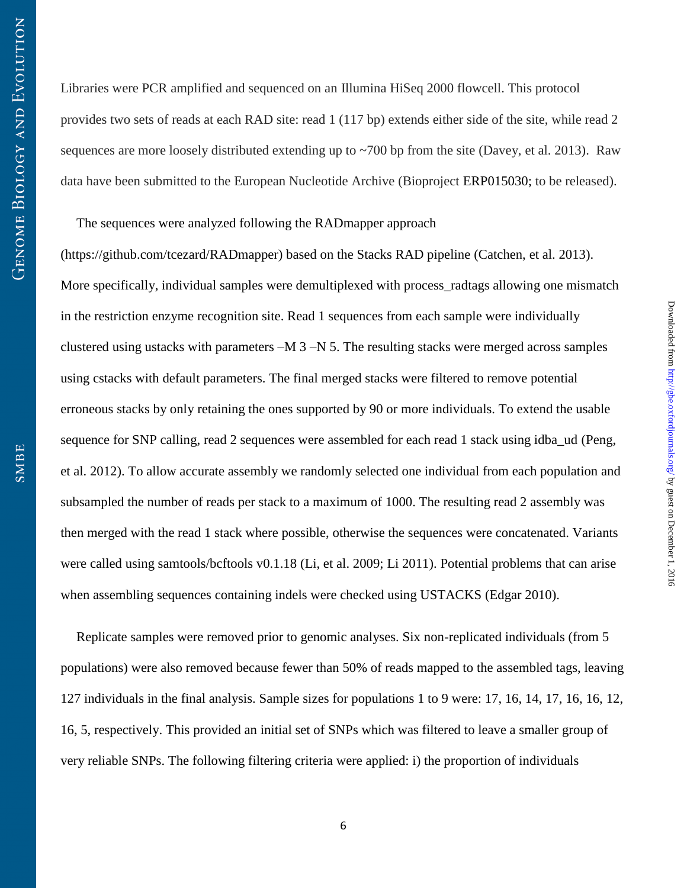Libraries were PCR amplified and sequenced on an Illumina HiSeq 2000 flowcell. This protocol provides two sets of reads at each RAD site: read 1 (117 bp) extends either side of the site, while read 2 sequences are more loosely distributed extending up to ~700 bp from the site (Davey, et al. 2013). Raw data have been submitted to the European Nucleotide Archive (Bioproject ERP015030; to be released).

# The sequences were analyzed following the RADmapper approach

(https://github.com/tcezard/RADmapper) based on the Stacks RAD pipeline (Catchen, et al. 2013). More specifically, individual samples were demultiplexed with process\_radtags allowing one mismatch in the restriction enzyme recognition site. Read 1 sequences from each sample were individually clustered using ustacks with parameters –M 3 –N 5. The resulting stacks were merged across samples using cstacks with default parameters. The final merged stacks were filtered to remove potential erroneous stacks by only retaining the ones supported by 90 or more individuals. To extend the usable sequence for SNP calling, read 2 sequences were assembled for each read 1 stack using idba\_ud (Peng, et al. 2012). To allow accurate assembly we randomly selected one individual from each population and subsampled the number of reads per stack to a maximum of 1000. The resulting read 2 assembly was then merged with the read 1 stack where possible, otherwise the sequences were concatenated. Variants were called using samtools/bcftools v0.1.18 (Li, et al. 2009; Li 2011). Potential problems that can arise when assembling sequences containing indels were checked using USTACKS (Edgar 2010).

Replicate samples were removed prior to genomic analyses. Six non-replicated individuals (from 5 populations) were also removed because fewer than 50% of reads mapped to the assembled tags, leaving 127 individuals in the final analysis. Sample sizes for populations 1 to 9 were: 17, 16, 14, 17, 16, 16, 12, 16, 5, respectively. This provided an initial set of SNPs which was filtered to leave a smaller group of very reliable SNPs. The following filtering criteria were applied: i) the proportion of individuals

 $Downloaded from [http://gbec.oxfordiounals.org/ by guest on December 1, 2016](http://gbec.oxfordiounals.org/)$ 

Downloaded from http://gbe.oxfordjournals.org/ by guest on December 1, 2016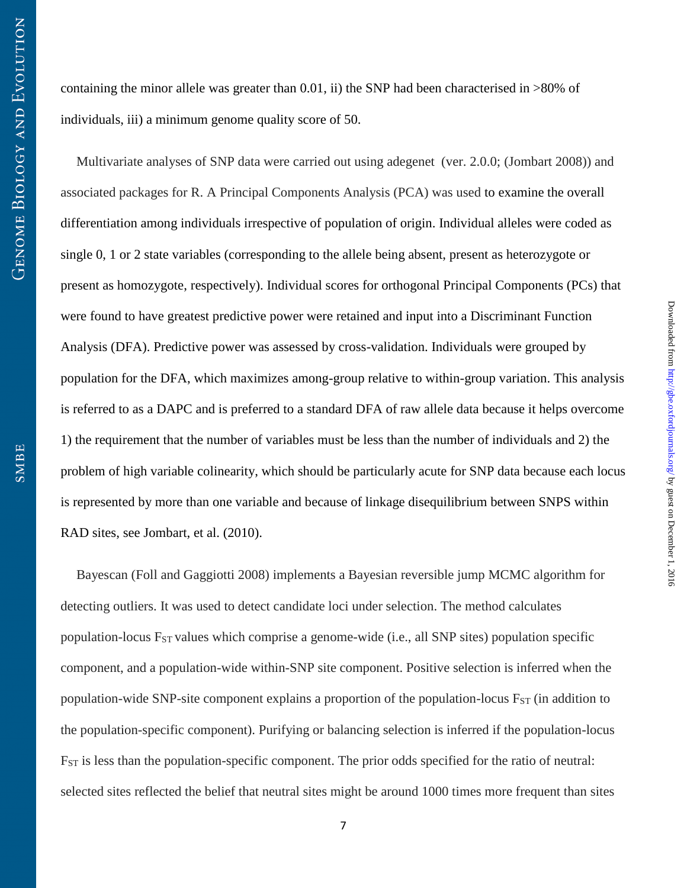containing the minor allele was greater than 0.01, ii) the SNP had been characterised in >80% of individuals, iii) a minimum genome quality score of 50.

Multivariate analyses of SNP data were carried out using adegenet (ver. 2.0.0; (Jombart 2008)) and associated packages for R. A Principal Components Analysis (PCA) was used to examine the overall differentiation among individuals irrespective of population of origin. Individual alleles were coded as single 0, 1 or 2 state variables (corresponding to the allele being absent, present as heterozygote or present as homozygote, respectively). Individual scores for orthogonal Principal Components (PCs) that were found to have greatest predictive power were retained and input into a Discriminant Function Analysis (DFA). Predictive power was assessed by cross-validation. Individuals were grouped by population for the DFA, which maximizes among-group relative to within-group variation. This analysis is referred to as a DAPC and is preferred to a standard DFA of raw allele data because it helps overcome 1) the requirement that the number of variables must be less than the number of individuals and 2) the problem of high variable colinearity, which should be particularly acute for SNP data because each locus is represented by more than one variable and because of linkage disequilibrium between SNPS within RAD sites, see Jombart, et al. (2010).

Bayescan (Foll and Gaggiotti 2008) implements a Bayesian reversible jump MCMC algorithm for detecting outliers. It was used to detect candidate loci under selection. The method calculates population-locus  $F_{ST}$  values which comprise a genome-wide (i.e., all SNP sites) population specific component, and a population-wide within-SNP site component. Positive selection is inferred when the population-wide SNP-site component explains a proportion of the population-locus  $F_{ST}$  (in addition to the population-specific component). Purifying or balancing selection is inferred if the population-locus FST is less than the population-specific component. The prior odds specified for the ratio of neutral: selected sites reflected the belief that neutral sites might be around 1000 times more frequent than sites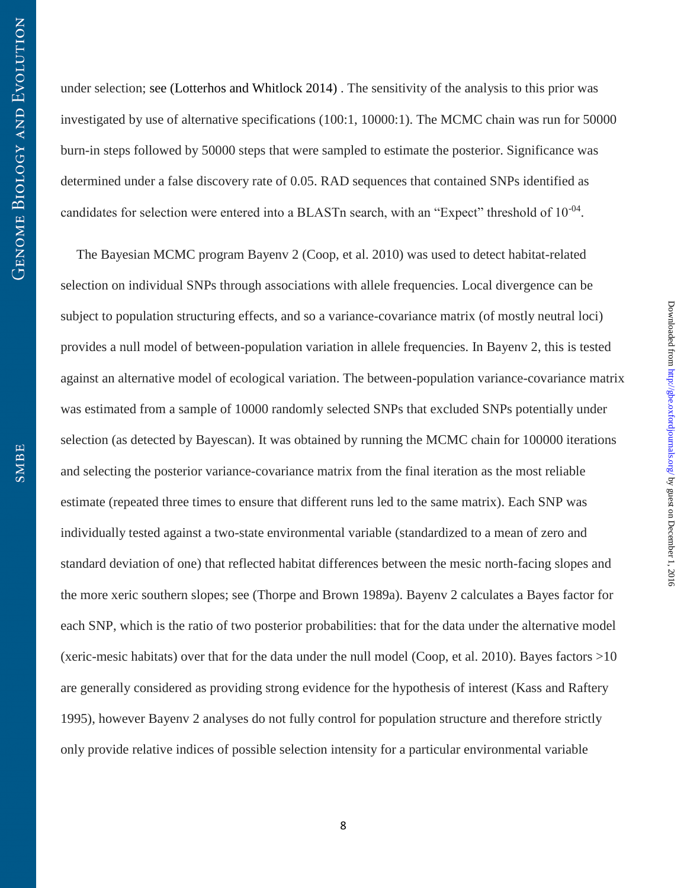under selection; see (Lotterhos and Whitlock 2014) . The sensitivity of the analysis to this prior was investigated by use of alternative specifications (100:1, 10000:1). The MCMC chain was run for 50000 burn-in steps followed by 50000 steps that were sampled to estimate the posterior. Significance was determined under a false discovery rate of 0.05. RAD sequences that contained SNPs identified as candidates for selection were entered into a BLASTn search, with an "Expect" threshold of  $10^{-04}$ .

The Bayesian MCMC program Bayenv 2 (Coop, et al. 2010) was used to detect habitat-related selection on individual SNPs through associations with allele frequencies. Local divergence can be subject to population structuring effects, and so a variance-covariance matrix (of mostly neutral loci) provides a null model of between-population variation in allele frequencies. In Bayenv 2, this is tested against an alternative model of ecological variation. The between-population variance-covariance matrix was estimated from a sample of 10000 randomly selected SNPs that excluded SNPs potentially under selection (as detected by Bayescan). It was obtained by running the MCMC chain for 100000 iterations and selecting the posterior variance-covariance matrix from the final iteration as the most reliable estimate (repeated three times to ensure that different runs led to the same matrix). Each SNP was individually tested against a two-state environmental variable (standardized to a mean of zero and standard deviation of one) that reflected habitat differences between the mesic north-facing slopes and the more xeric southern slopes; see (Thorpe and Brown 1989a). Bayenv 2 calculates a Bayes factor for each SNP, which is the ratio of two posterior probabilities: that for the data under the alternative model (xeric-mesic habitats) over that for the data under the null model (Coop, et al. 2010). Bayes factors  $>10$ are generally considered as providing strong evidence for the hypothesis of interest (Kass and Raftery 1995), however Bayenv 2 analyses do not fully control for population structure and therefore strictly only provide relative indices of possible selection intensity for a particular environmental variable

 $Downloaded from [http://gbec.oxfordiounals.org/ by guest on December 1, 2016](http://gbec.oxfordiounals.org/)$ 

Downloaded from http://gbe.oxfordjournals.org/ by guest on December 1, 2016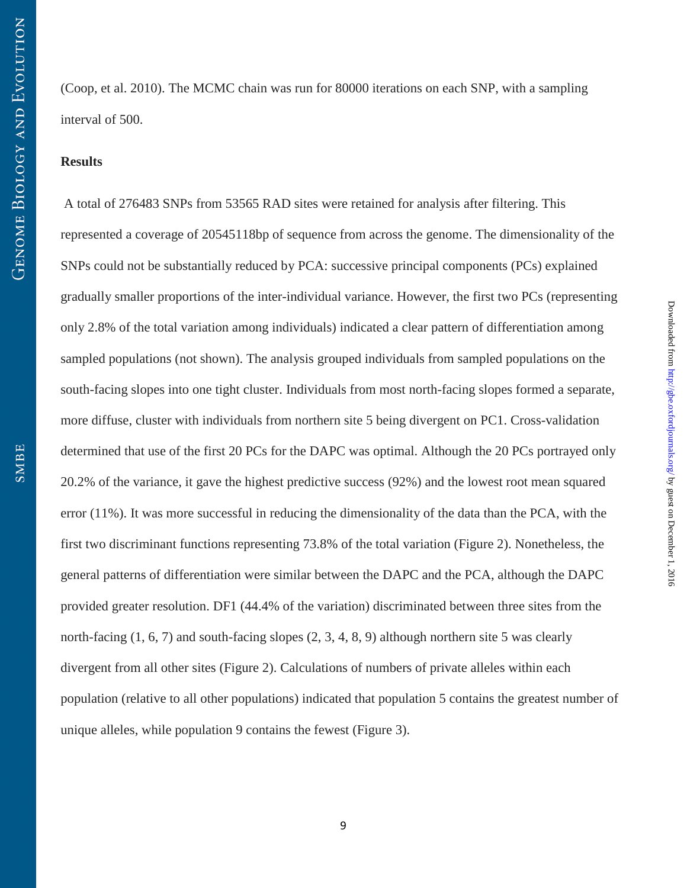(Coop, et al. 2010). The MCMC chain was run for 80000 iterations on each SNP, with a sampling interval of 500.

## **Results**

 A total of 276483 SNPs from 53565 RAD sites were retained for analysis after filtering. This represented a coverage of 20545118bp of sequence from across the genome. The dimensionality of the SNPs could not be substantially reduced by PCA: successive principal components (PCs) explained gradually smaller proportions of the inter-individual variance. However, the first two PCs (representing only 2.8% of the total variation among individuals) indicated a clear pattern of differentiation among sampled populations (not shown). The analysis grouped individuals from sampled populations on the south-facing slopes into one tight cluster. Individuals from most north-facing slopes formed a separate, more diffuse, cluster with individuals from northern site 5 being divergent on PC1. Cross-validation determined that use of the first 20 PCs for the DAPC was optimal. Although the 20 PCs portrayed only 20.2% of the variance, it gave the highest predictive success (92%) and the lowest root mean squared error (11%). It was more successful in reducing the dimensionality of the data than the PCA, with the first two discriminant functions representing 73.8% of the total variation (Figure 2). Nonetheless, the general patterns of differentiation were similar between the DAPC and the PCA, although the DAPC provided greater resolution. DF1 (44.4% of the variation) discriminated between three sites from the north-facing (1, 6, 7) and south-facing slopes (2, 3, 4, 8, 9) although northern site 5 was clearly divergent from all other sites (Figure 2). Calculations of numbers of private alleles within each population (relative to all other populations) indicated that population 5 contains the greatest number of unique alleles, while population 9 contains the fewest (Figure 3).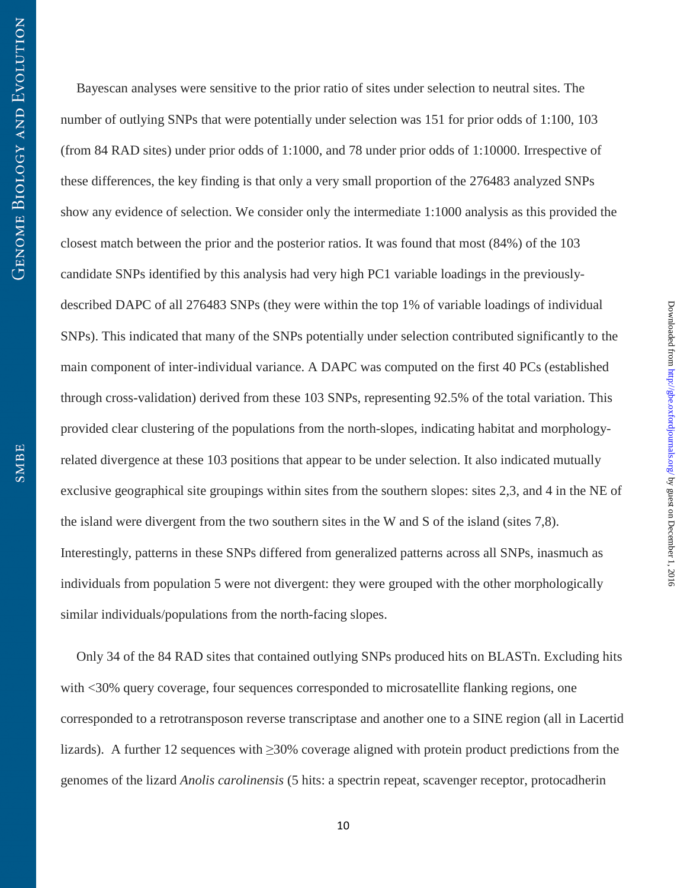Bayescan analyses were sensitive to the prior ratio of sites under selection to neutral sites. The number of outlying SNPs that were potentially under selection was 151 for prior odds of 1:100, 103 (from 84 RAD sites) under prior odds of 1:1000, and 78 under prior odds of 1:10000. Irrespective of these differences, the key finding is that only a very small proportion of the 276483 analyzed SNPs show any evidence of selection. We consider only the intermediate 1:1000 analysis as this provided the closest match between the prior and the posterior ratios. It was found that most (84%) of the 103 candidate SNPs identified by this analysis had very high PC1 variable loadings in the previouslydescribed DAPC of all 276483 SNPs (they were within the top 1% of variable loadings of individual SNPs). This indicated that many of the SNPs potentially under selection contributed significantly to the main component of inter-individual variance. A DAPC was computed on the first 40 PCs (established through cross-validation) derived from these 103 SNPs, representing 92.5% of the total variation. This provided clear clustering of the populations from the north-slopes, indicating habitat and morphologyrelated divergence at these 103 positions that appear to be under selection. It also indicated mutually exclusive geographical site groupings within sites from the southern slopes: sites 2,3, and 4 in the NE of the island were divergent from the two southern sites in the W and S of the island (sites 7,8). Interestingly, patterns in these SNPs differed from generalized patterns across all SNPs, inasmuch as individuals from population 5 were not divergent: they were grouped with the other morphologically similar individuals/populations from the north-facing slopes.

 $Downloaded from [http://gbec.oxfordiounals.org/ by guest on December 1, 2016](http://gbec.oxfordiounals.org/)$ 

Downloaded from http://gbe.oxfordjournals.org/ by guest on December 1, 2016

Only 34 of the 84 RAD sites that contained outlying SNPs produced hits on BLASTn. Excluding hits with <30% query coverage, four sequences corresponded to microsatellite flanking regions, one corresponded to a retrotransposon reverse transcriptase and another one to a SINE region (all in Lacertid lizards). A further 12 sequences with ≥30% coverage aligned with protein product predictions from the genomes of the lizard *Anolis carolinensis* (5 hits: a spectrin repeat, scavenger receptor, protocadherin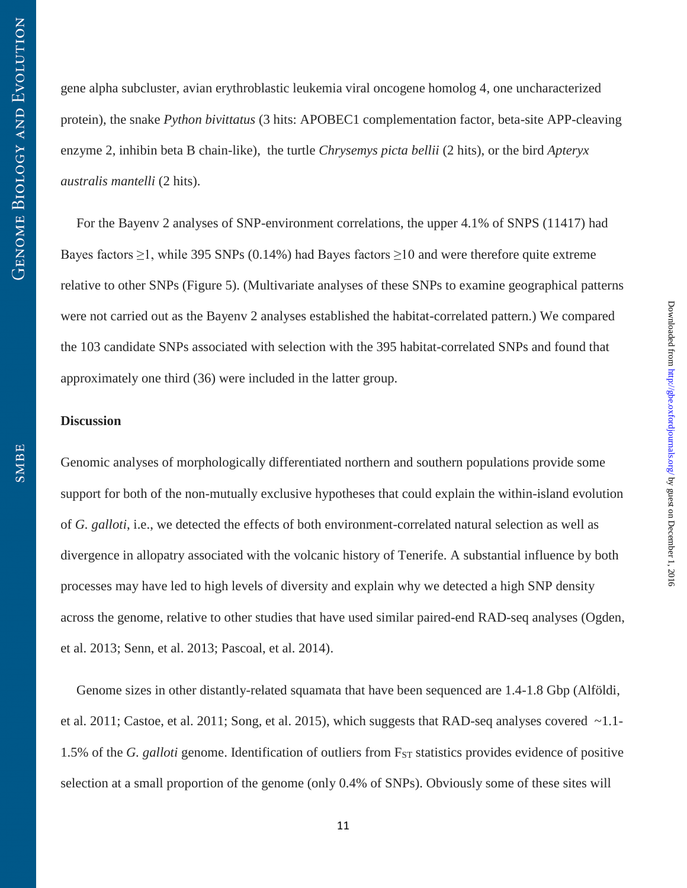gene alpha subcluster, avian erythroblastic leukemia viral oncogene homolog 4, one uncharacterized protein), the snake *Python bivittatus* (3 hits: APOBEC1 complementation factor, beta-site APP-cleaving enzyme 2, inhibin beta B chain-like), the turtle *Chrysemys picta bellii* (2 hits), or the bird *Apteryx australis mantelli* (2 hits).

For the Bayenv 2 analyses of SNP-environment correlations, the upper 4.1% of SNPS (11417) had Bayes factors  $\geq$ 1, while 395 SNPs (0.14%) had Bayes factors  $\geq$ 10 and were therefore quite extreme relative to other SNPs (Figure 5). (Multivariate analyses of these SNPs to examine geographical patterns were not carried out as the Bayenv 2 analyses established the habitat-correlated pattern.) We compared the 103 candidate SNPs associated with selection with the 395 habitat-correlated SNPs and found that approximately one third (36) were included in the latter group.

## **Discussion**

Genomic analyses of morphologically differentiated northern and southern populations provide some support for both of the non-mutually exclusive hypotheses that could explain the within-island evolution of *G. galloti*, i.e., we detected the effects of both environment-correlated natural selection as well as divergence in allopatry associated with the volcanic history of Tenerife. A substantial influence by both processes may have led to high levels of diversity and explain why we detected a high SNP density across the genome, relative to other studies that have used similar paired-end RAD-seq analyses (Ogden, et al. 2013; Senn, et al. 2013; Pascoal, et al. 2014).

Genome sizes in other distantly-related squamata that have been sequenced are 1.4-1.8 Gbp (Alföldi, et al. 2011; Castoe, et al. 2011; Song, et al. 2015), which suggests that RAD-seq analyses covered ~1.1- 1.5% of the *G. galloti* genome. Identification of outliers from F<sub>ST</sub> statistics provides evidence of positive selection at a small proportion of the genome (only 0.4% of SNPs). Obviously some of these sites will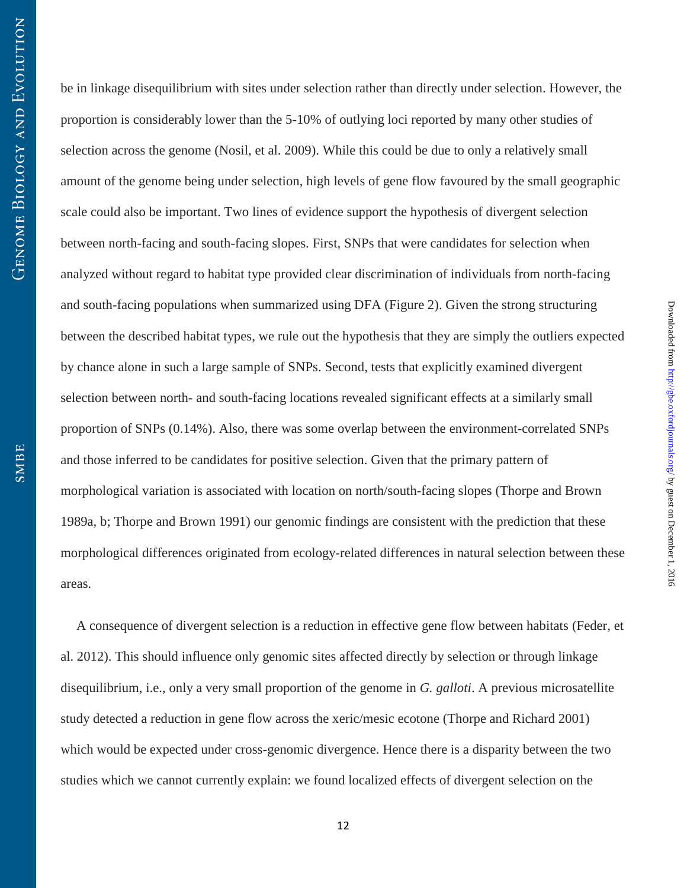be in linkage disequilibrium with sites under selection rather than directly under selection. However, the proportion is considerably lower than the 5-10% of outlying loci reported by many other studies of selection across the genome (Nosil, et al. 2009). While this could be due to only a relatively small amount of the genome being under selection, high levels of gene flow favoured by the small geographic scale could also be important. Two lines of evidence support the hypothesis of divergent selection between north-facing and south-facing slopes. First, SNPs that were candidates for selection when analyzed without regard to habitat type provided clear discrimination of individuals from north-facing and south-facing populations when summarized using DFA (Figure 2). Given the strong structuring between the described habitat types, we rule out the hypothesis that they are simply the outliers expected by chance alone in such a large sample of SNPs. Second, tests that explicitly examined divergent selection between north- and south-facing locations revealed significant effects at a similarly small proportion of SNPs (0.14%). Also, there was some overlap between the environment-correlated SNPs and those inferred to be candidates for positive selection. Given that the primary pattern of morphological variation is associated with location on north/south-facing slopes (Thorpe and Brown 1989a, b; Thorpe and Brown 1991) our genomic findings are consistent with the prediction that these morphological differences originated from ecology-related differences in natural selection between these areas.

 $Downloaded from [http://gbec.oxfordiounals.org/ by guest on December 1, 2016](http://gbec.oxfordiounals.org/)$ 

Downloaded from http://gbe.oxfordjournals.org/ by guest on December 1, 2016

A consequence of divergent selection is a reduction in effective gene flow between habitats (Feder, et al. 2012). This should influence only genomic sites affected directly by selection or through linkage disequilibrium, i.e., only a very small proportion of the genome in *G. galloti*. A previous microsatellite study detected a reduction in gene flow across the xeric/mesic ecotone (Thorpe and Richard 2001) which would be expected under cross-genomic divergence. Hence there is a disparity between the two studies which we cannot currently explain: we found localized effects of divergent selection on the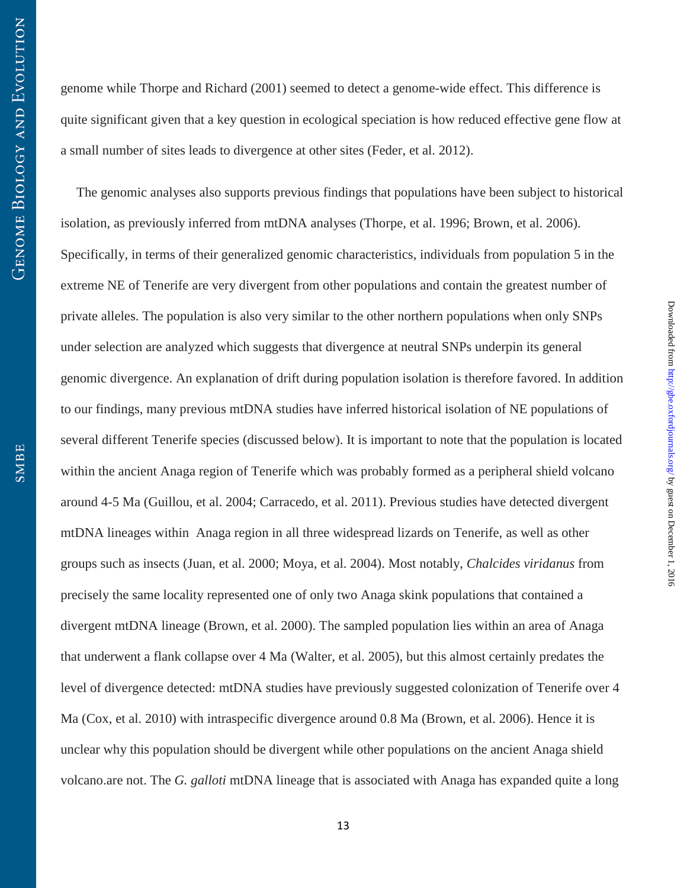genome while Thorpe and Richard (2001) seemed to detect a genome-wide effect. This difference is quite significant given that a key question in ecological speciation is how reduced effective gene flow at a small number of sites leads to divergence at other sites (Feder, et al. 2012).

The genomic analyses also supports previous findings that populations have been subject to historical isolation, as previously inferred from mtDNA analyses (Thorpe, et al. 1996; Brown, et al. 2006). Specifically, in terms of their generalized genomic characteristics, individuals from population 5 in the extreme NE of Tenerife are very divergent from other populations and contain the greatest number of private alleles. The population is also very similar to the other northern populations when only SNPs under selection are analyzed which suggests that divergence at neutral SNPs underpin its general genomic divergence. An explanation of drift during population isolation is therefore favored. In addition to our findings, many previous mtDNA studies have inferred historical isolation of NE populations of several different Tenerife species (discussed below). It is important to note that the population is located within the ancient Anaga region of Tenerife which was probably formed as a peripheral shield volcano around 4-5 Ma (Guillou, et al. 2004; Carracedo, et al. 2011). Previous studies have detected divergent mtDNA lineages within Anaga region in all three widespread lizards on Tenerife, as well as other groups such as insects (Juan, et al. 2000; Moya, et al. 2004). Most notably, *Chalcides viridanus* from precisely the same locality represented one of only two Anaga skink populations that contained a divergent mtDNA lineage (Brown, et al. 2000). The sampled population lies within an area of Anaga that underwent a flank collapse over 4 Ma (Walter, et al. 2005), but this almost certainly predates the level of divergence detected: mtDNA studies have previously suggested colonization of Tenerife over 4 Ma (Cox, et al. 2010) with intraspecific divergence around 0.8 Ma (Brown, et al. 2006). Hence it is unclear why this population should be divergent while other populations on the ancient Anaga shield volcano.are not. The *G. galloti* mtDNA lineage that is associated with Anaga has expanded quite a long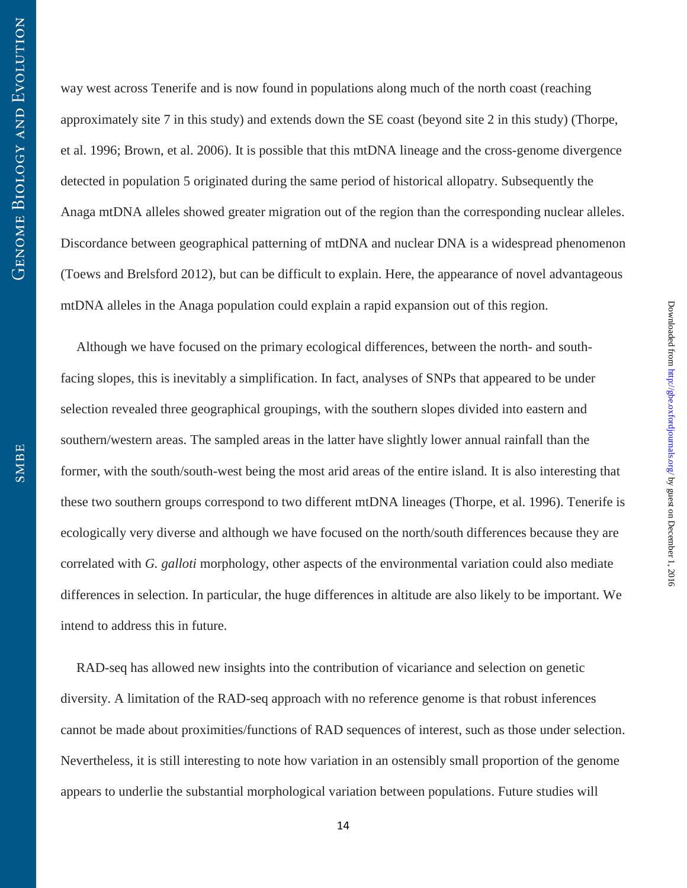way west across Tenerife and is now found in populations along much of the north coast (reaching approximately site 7 in this study) and extends down the SE coast (beyond site 2 in this study) (Thorpe, et al. 1996; Brown, et al. 2006). It is possible that this mtDNA lineage and the cross-genome divergence detected in population 5 originated during the same period of historical allopatry. Subsequently the Anaga mtDNA alleles showed greater migration out of the region than the corresponding nuclear alleles. Discordance between geographical patterning of mtDNA and nuclear DNA is a widespread phenomenon (Toews and Brelsford 2012), but can be difficult to explain. Here, the appearance of novel advantageous mtDNA alleles in the Anaga population could explain a rapid expansion out of this region.

Although we have focused on the primary ecological differences, between the north- and southfacing slopes, this is inevitably a simplification. In fact, analyses of SNPs that appeared to be under selection revealed three geographical groupings, with the southern slopes divided into eastern and southern/western areas. The sampled areas in the latter have slightly lower annual rainfall than the former, with the south/south-west being the most arid areas of the entire island. It is also interesting that these two southern groups correspond to two different mtDNA lineages (Thorpe, et al. 1996). Tenerife is ecologically very diverse and although we have focused on the north/south differences because they are correlated with *G. galloti* morphology, other aspects of the environmental variation could also mediate differences in selection. In particular, the huge differences in altitude are also likely to be important. We intend to address this in future.

 $Downloaded from [http://gbec.oxfordiounals.org/ by guest on December 1, 2016](http://gbec.oxfordiounals.org/)$ 

Downloaded from http://gbe.oxfordjournals.org/ by guest on December 1, 2016

RAD-seq has allowed new insights into the contribution of vicariance and selection on genetic diversity. A limitation of the RAD-seq approach with no reference genome is that robust inferences cannot be made about proximities/functions of RAD sequences of interest, such as those under selection. Nevertheless, it is still interesting to note how variation in an ostensibly small proportion of the genome appears to underlie the substantial morphological variation between populations. Future studies will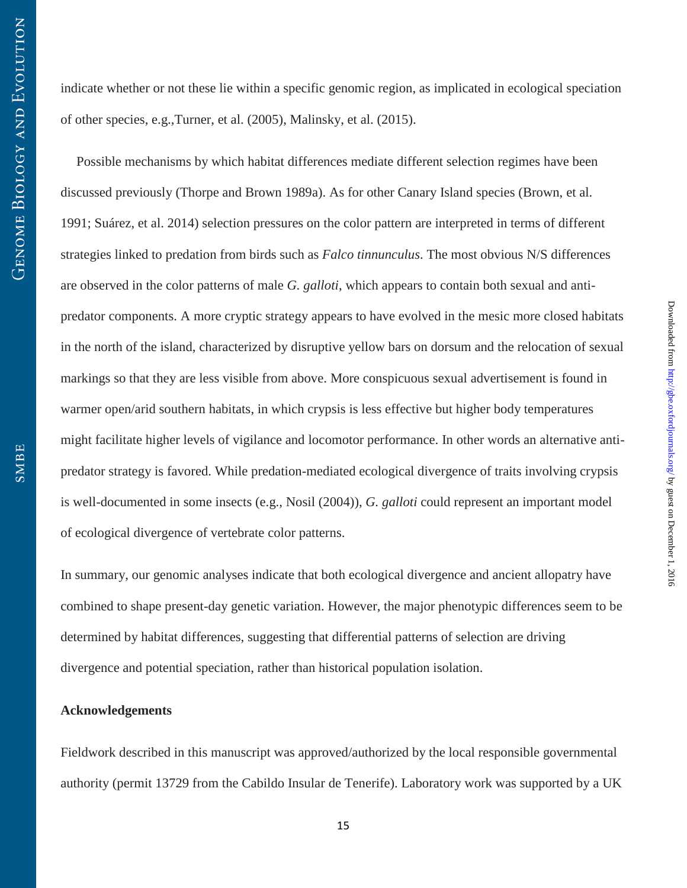indicate whether or not these lie within a specific genomic region, as implicated in ecological speciation of other species, e.g.,Turner, et al. (2005), Malinsky, et al. (2015).

Possible mechanisms by which habitat differences mediate different selection regimes have been discussed previously (Thorpe and Brown 1989a). As for other Canary Island species (Brown, et al. 1991; Suárez, et al. 2014) selection pressures on the color pattern are interpreted in terms of different strategies linked to predation from birds such as *Falco tinnunculus*. The most obvious N/S differences are observed in the color patterns of male *G. galloti*, which appears to contain both sexual and antipredator components. A more cryptic strategy appears to have evolved in the mesic more closed habitats in the north of the island, characterized by disruptive yellow bars on dorsum and the relocation of sexual markings so that they are less visible from above. More conspicuous sexual advertisement is found in warmer open/arid southern habitats, in which crypsis is less effective but higher body temperatures might facilitate higher levels of vigilance and locomotor performance. In other words an alternative antipredator strategy is favored. While predation-mediated ecological divergence of traits involving crypsis is well-documented in some insects (e.g., Nosil (2004)), *G. galloti* could represent an important model of ecological divergence of vertebrate color patterns.

In summary, our genomic analyses indicate that both ecological divergence and ancient allopatry have combined to shape present-day genetic variation. However, the major phenotypic differences seem to be determined by habitat differences, suggesting that differential patterns of selection are driving divergence and potential speciation, rather than historical population isolation.

## **Acknowledgements**

Fieldwork described in this manuscript was approved/authorized by the local responsible governmental authority (permit 13729 from the Cabildo Insular de Tenerife). Laboratory work was supported by a UK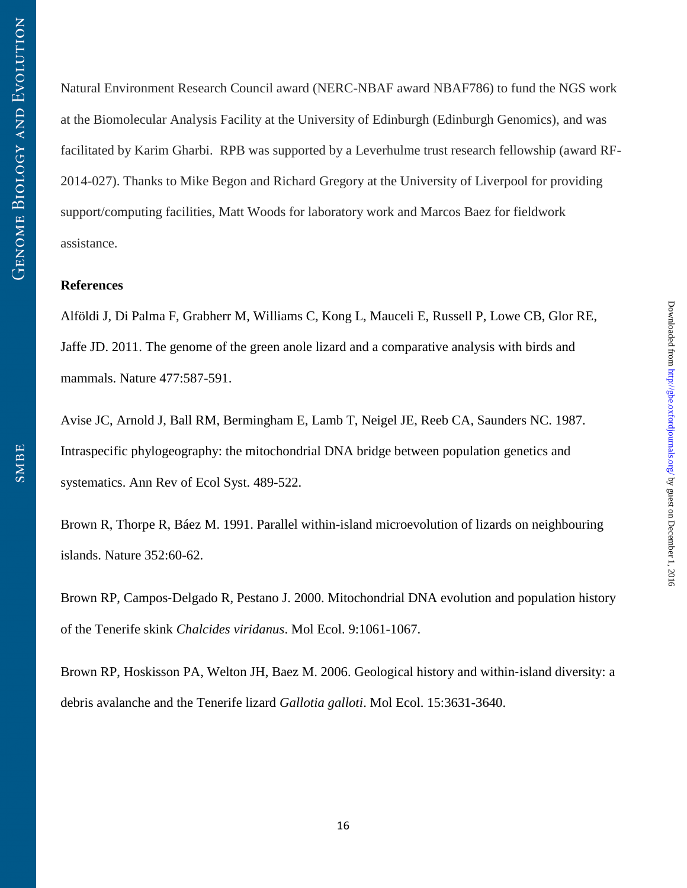Natural Environment Research Council award (NERC-NBAF award NBAF786) to fund the NGS work at the Biomolecular Analysis Facility at the University of Edinburgh (Edinburgh Genomics), and was facilitated by Karim Gharbi. RPB was supported by a Leverhulme trust research fellowship (award RF-2014-027). Thanks to Mike Begon and Richard Gregory at the University of Liverpool for providing support/computing facilities, Matt Woods for laboratory work and Marcos Baez for fieldwork assistance.

## **References**

Alföldi J, Di Palma F, Grabherr M, Williams C, Kong L, Mauceli E, Russell P, Lowe CB, Glor RE, Jaffe JD. 2011. The genome of the green anole lizard and a comparative analysis with birds and mammals. Nature 477:587-591.

Avise JC, Arnold J, Ball RM, Bermingham E, Lamb T, Neigel JE, Reeb CA, Saunders NC. 1987. Intraspecific phylogeography: the mitochondrial DNA bridge between population genetics and systematics. Ann Rev of Ecol Syst. 489-522.

Brown R, Thorpe R, Báez M. 1991. Parallel within-island microevolution of lizards on neighbouring islands. Nature 352:60-62.

Brown RP, Campos‐Delgado R, Pestano J. 2000. Mitochondrial DNA evolution and population history of the Tenerife skink *Chalcides viridanus*. Mol Ecol. 9:1061-1067.

Brown RP, Hoskisson PA, Welton JH, Baez M. 2006. Geological history and within‐island diversity: a debris avalanche and the Tenerife lizard *Gallotia galloti*. Mol Ecol. 15:3631-3640.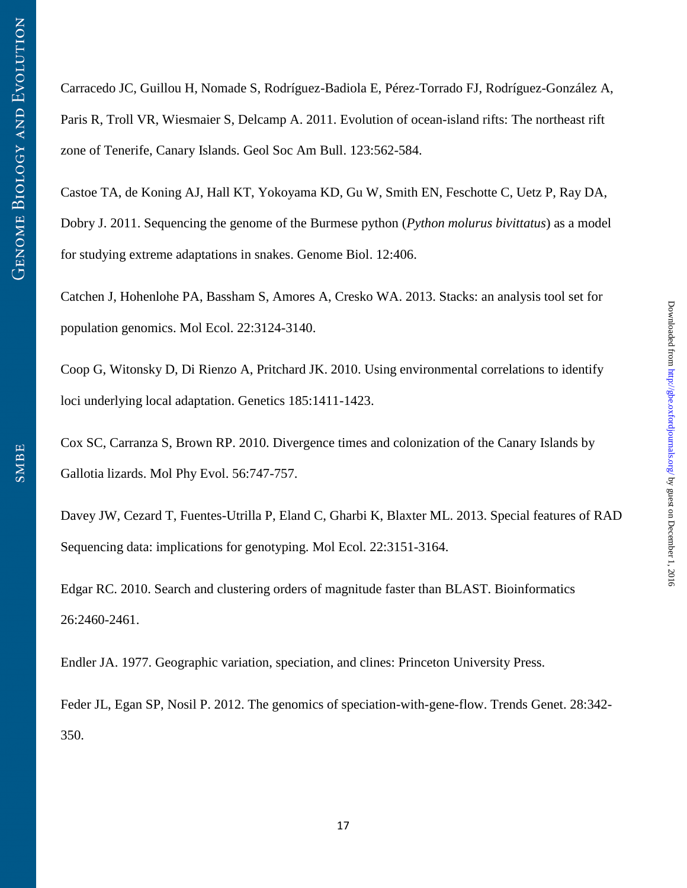Carracedo JC, Guillou H, Nomade S, Rodríguez-Badiola E, Pérez-Torrado FJ, Rodríguez-González A, Paris R, Troll VR, Wiesmaier S, Delcamp A. 2011. Evolution of ocean-island rifts: The northeast rift zone of Tenerife, Canary Islands. Geol Soc Am Bull. 123:562-584.

Castoe TA, de Koning AJ, Hall KT, Yokoyama KD, Gu W, Smith EN, Feschotte C, Uetz P, Ray DA, Dobry J. 2011. Sequencing the genome of the Burmese python (*Python molurus bivittatus*) as a model for studying extreme adaptations in snakes. Genome Biol. 12:406.

Catchen J, Hohenlohe PA, Bassham S, Amores A, Cresko WA. 2013. Stacks: an analysis tool set for population genomics. Mol Ecol. 22:3124-3140.

Coop G, Witonsky D, Di Rienzo A, Pritchard JK. 2010. Using environmental correlations to identify loci underlying local adaptation. Genetics 185:1411-1423.

Cox SC, Carranza S, Brown RP. 2010. Divergence times and colonization of the Canary Islands by Gallotia lizards. Mol Phy Evol. 56:747-757.

Davey JW, Cezard T, Fuentes-Utrilla P, Eland C, Gharbi K, Blaxter ML. 2013. Special features of RAD Sequencing data: implications for genotyping. Mol Ecol. 22:3151-3164.

Edgar RC. 2010. Search and clustering orders of magnitude faster than BLAST. Bioinformatics 26:2460-2461.

Endler JA. 1977. Geographic variation, speciation, and clines: Princeton University Press.

Feder JL, Egan SP, Nosil P. 2012. The genomics of speciation-with-gene-flow. Trends Genet. 28:342- 350.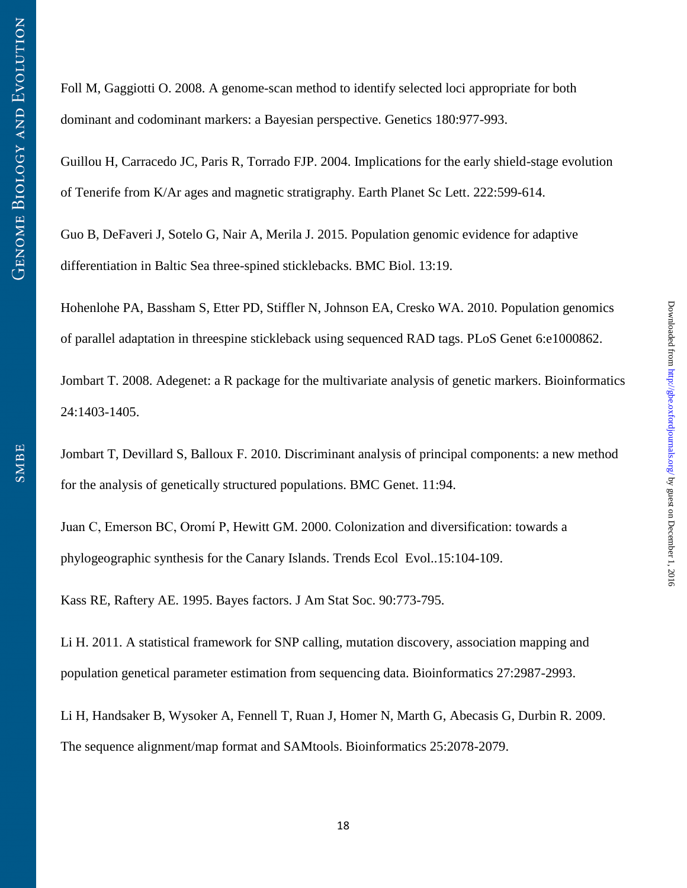Foll M, Gaggiotti O. 2008. A genome-scan method to identify selected loci appropriate for both dominant and codominant markers: a Bayesian perspective. Genetics 180:977-993.

Guillou H, Carracedo JC, Paris R, Torrado FJP. 2004. Implications for the early shield-stage evolution of Tenerife from K/Ar ages and magnetic stratigraphy. Earth Planet Sc Lett. 222:599-614.

Guo B, DeFaveri J, Sotelo G, Nair A, Merila J. 2015. Population genomic evidence for adaptive differentiation in Baltic Sea three-spined sticklebacks. BMC Biol. 13:19.

Hohenlohe PA, Bassham S, Etter PD, Stiffler N, Johnson EA, Cresko WA. 2010. Population genomics of parallel adaptation in threespine stickleback using sequenced RAD tags. PLoS Genet 6:e1000862.

Jombart T. 2008. Adegenet: a R package for the multivariate analysis of genetic markers. Bioinformatics 24:1403-1405.

Jombart T, Devillard S, Balloux F. 2010. Discriminant analysis of principal components: a new method for the analysis of genetically structured populations. BMC Genet. 11:94.

Juan C, Emerson BC, Oromí P, Hewitt GM. 2000. Colonization and diversification: towards a phylogeographic synthesis for the Canary Islands. Trends Ecol Evol..15:104-109.

Kass RE, Raftery AE. 1995. Bayes factors. J Am Stat Soc. 90:773-795.

Li H. 2011. A statistical framework for SNP calling, mutation discovery, association mapping and population genetical parameter estimation from sequencing data. Bioinformatics 27:2987-2993.

Li H, Handsaker B, Wysoker A, Fennell T, Ruan J, Homer N, Marth G, Abecasis G, Durbin R. 2009. The sequence alignment/map format and SAMtools. Bioinformatics 25:2078-2079.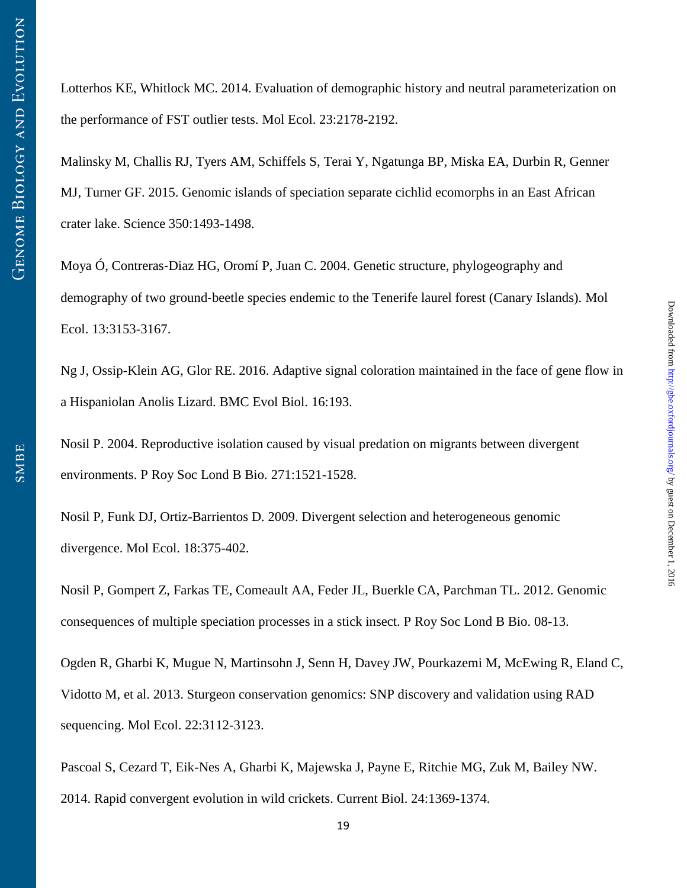Lotterhos KE, Whitlock MC. 2014. Evaluation of demographic history and neutral parameterization on the performance of FST outlier tests. Mol Ecol. 23:2178-2192.

Malinsky M, Challis RJ, Tyers AM, Schiffels S, Terai Y, Ngatunga BP, Miska EA, Durbin R, Genner MJ, Turner GF. 2015. Genomic islands of speciation separate cichlid ecomorphs in an East African crater lake. Science 350:1493-1498.

Moya Ó, Contreras‐Diaz HG, Oromí P, Juan C. 2004. Genetic structure, phylogeography and demography of two ground‐beetle species endemic to the Tenerife laurel forest (Canary Islands). Mol Ecol. 13:3153-3167.

Ng J, Ossip-Klein AG, Glor RE. 2016. Adaptive signal coloration maintained in the face of gene flow in a Hispaniolan Anolis Lizard. BMC Evol Biol. 16:193.

Nosil P. 2004. Reproductive isolation caused by visual predation on migrants between divergent environments. P Roy Soc Lond B Bio. 271:1521-1528.

Nosil P, Funk DJ, Ortiz-Barrientos D. 2009. Divergent selection and heterogeneous genomic divergence. Mol Ecol. 18:375-402.

Nosil P, Gompert Z, Farkas TE, Comeault AA, Feder JL, Buerkle CA, Parchman TL. 2012. Genomic consequences of multiple speciation processes in a stick insect. P Roy Soc Lond B Bio. 08-13.

Ogden R, Gharbi K, Mugue N, Martinsohn J, Senn H, Davey JW, Pourkazemi M, McEwing R, Eland C, Vidotto M, et al. 2013. Sturgeon conservation genomics: SNP discovery and validation using RAD sequencing. Mol Ecol. 22:3112-3123.

Pascoal S, Cezard T, Eik-Nes A, Gharbi K, Majewska J, Payne E, Ritchie MG, Zuk M, Bailey NW. 2014. Rapid convergent evolution in wild crickets. Current Biol. 24:1369-1374.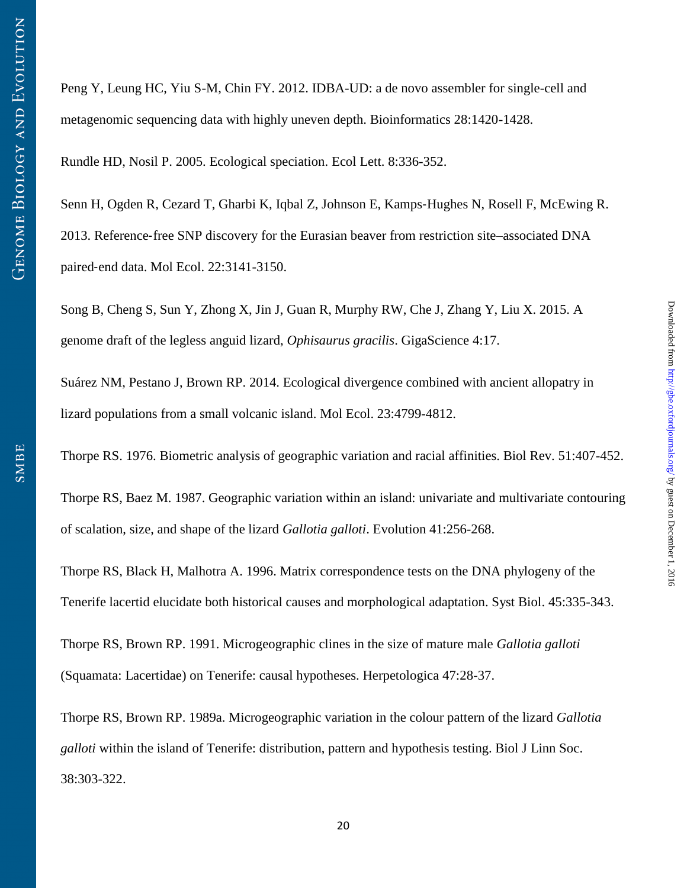Peng Y, Leung HC, Yiu S-M, Chin FY. 2012. IDBA-UD: a de novo assembler for single-cell and metagenomic sequencing data with highly uneven depth. Bioinformatics 28:1420-1428.

Rundle HD, Nosil P. 2005. Ecological speciation. Ecol Lett. 8:336-352.

Senn H, Ogden R, Cezard T, Gharbi K, Iqbal Z, Johnson E, Kamps-Hughes N, Rosell F, McEwing R. 2013. Reference‐free SNP discovery for the Eurasian beaver from restriction site–associated DNA paired‐end data. Mol Ecol. 22:3141-3150.

Song B, Cheng S, Sun Y, Zhong X, Jin J, Guan R, Murphy RW, Che J, Zhang Y, Liu X. 2015. A genome draft of the legless anguid lizard, *Ophisaurus gracilis*. GigaScience 4:17.

Suárez NM, Pestano J, Brown RP. 2014. Ecological divergence combined with ancient allopatry in lizard populations from a small volcanic island. Mol Ecol. 23:4799-4812.

Thorpe RS. 1976. Biometric analysis of geographic variation and racial affinities. Biol Rev. 51:407-452.

 $Downloaded from [http://gbec.oxfordiounals.org/ by guest on December 1, 2016](http://gbec.oxfordiounals.org/)$ 

Downloaded from http://gbe.oxfordjournals.org/ by guest on December 1, 2016

Thorpe RS, Baez M. 1987. Geographic variation within an island: univariate and multivariate contouring of scalation, size, and shape of the lizard *Gallotia galloti*. Evolution 41:256-268.

Thorpe RS, Black H, Malhotra A. 1996. Matrix correspondence tests on the DNA phylogeny of the Tenerife lacertid elucidate both historical causes and morphological adaptation. Syst Biol. 45:335-343.

Thorpe RS, Brown RP. 1991. Microgeographic clines in the size of mature male *Gallotia galloti* (Squamata: Lacertidae) on Tenerife: causal hypotheses. Herpetologica 47:28-37.

Thorpe RS, Brown RP. 1989a. Microgeographic variation in the colour pattern of the lizard *Gallotia galloti* within the island of Tenerife: distribution, pattern and hypothesis testing. Biol J Linn Soc. 38:303-322.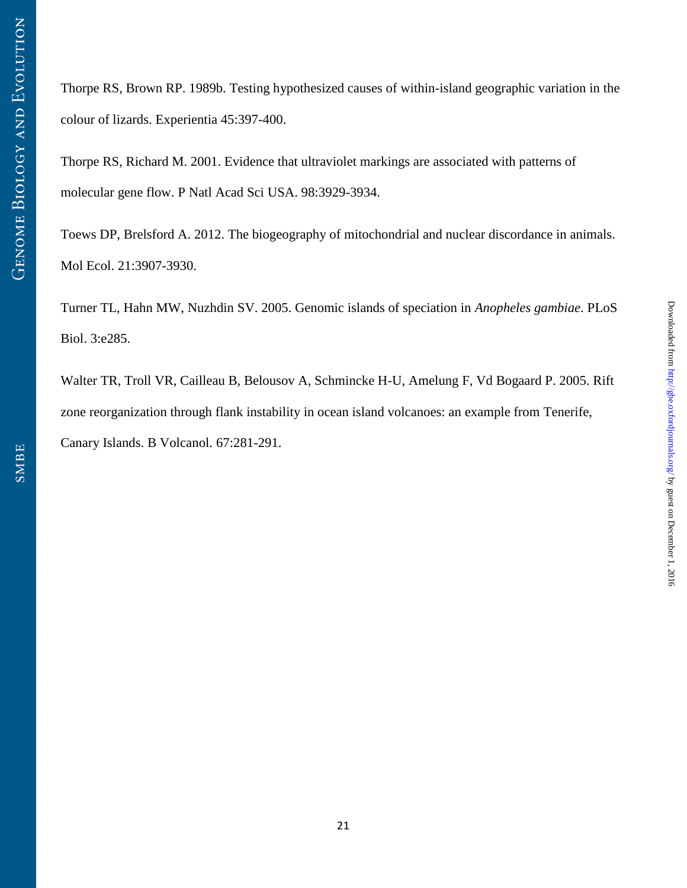Thorpe RS, Brown RP. 1989b. Testing hypothesized causes of within-island geographic variation in the colour of lizards. Experientia 45:397-400.

Thorpe RS, Richard M. 2001. Evidence that ultraviolet markings are associated with patterns of molecular gene flow. P Natl Acad Sci USA. 98:3929-3934.

Toews DP, Brelsford A. 2012. The biogeography of mitochondrial and nuclear discordance in animals. Mol Ecol. 21:3907-3930.

Turner TL, Hahn MW, Nuzhdin SV. 2005. Genomic islands of speciation in *Anopheles gambiae*. PLoS Biol. 3:e285.

Walter TR, Troll VR, Cailleau B, Belousov A, Schmincke H-U, Amelung F, Vd Bogaard P. 2005. Rift zone reorganization through flank instability in ocean island volcanoes: an example from Tenerife, Canary Islands. B Volcanol. 67:281-291.

 $Downloaded from [http://gbec.oxfordiounals.org/ by guest on December 1, 2016](http://gbec.oxfordiounals.org/)$ 

Downloaded from http://gbe.oxfordjournals.org/ by guest on December 1, 2016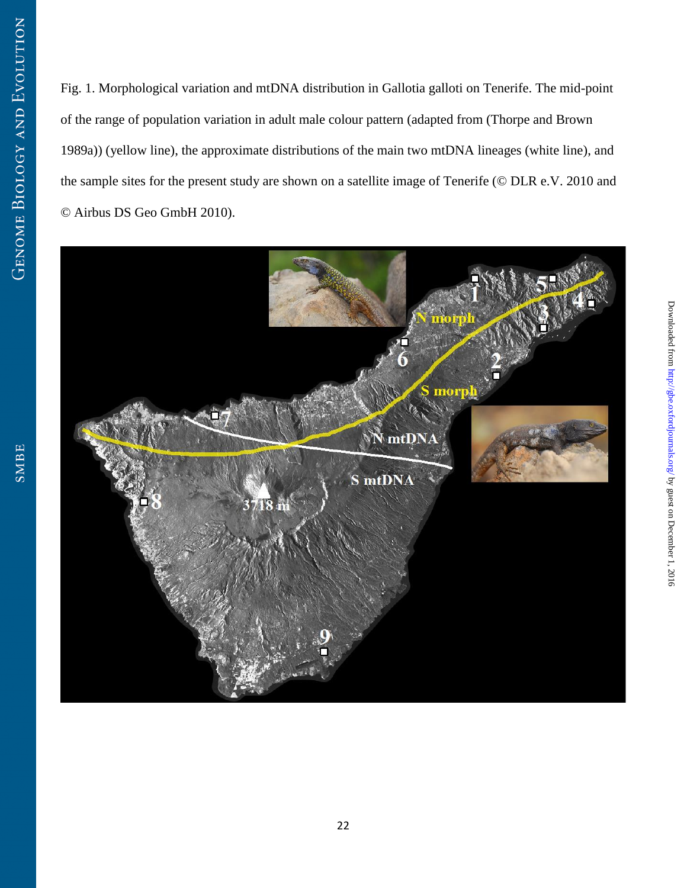Fig. 1. Morphological variation and mtDNA distribution in Gallotia galloti on Tenerife. The mid-point of the range of population variation in adult male colour pattern (adapted from (Thorpe and Brown 1989a)) (yellow line), the approximate distributions of the main two mtDNA lineages (white line), and the sample sites for the present study are shown on a satellite image of Tenerife (© DLR e.V. 2010 and © Airbus DS Geo GmbH 2010).

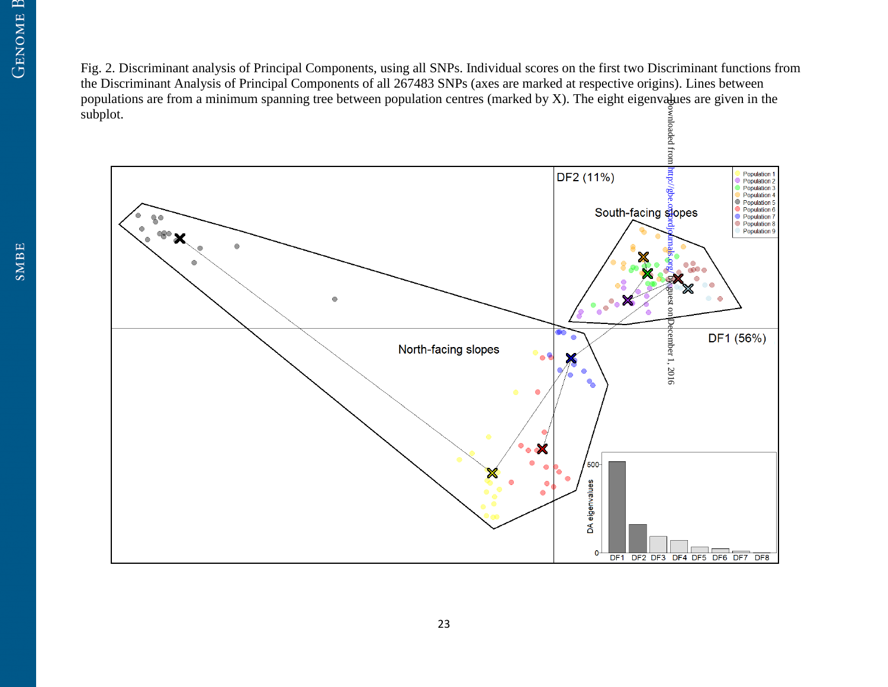Fig. 2. Discriminant analysis of Principal Components, using all SNPs. Individual scores on the first two Discriminant functions from the Discriminant Analysis of Principal Components of all 267483 SNPs (axes are marked at respective origins). Lines between populations are from a minimum spanning tree between population centres (marked by  $X$ ). The eight eigenvalues are given in the subplot.

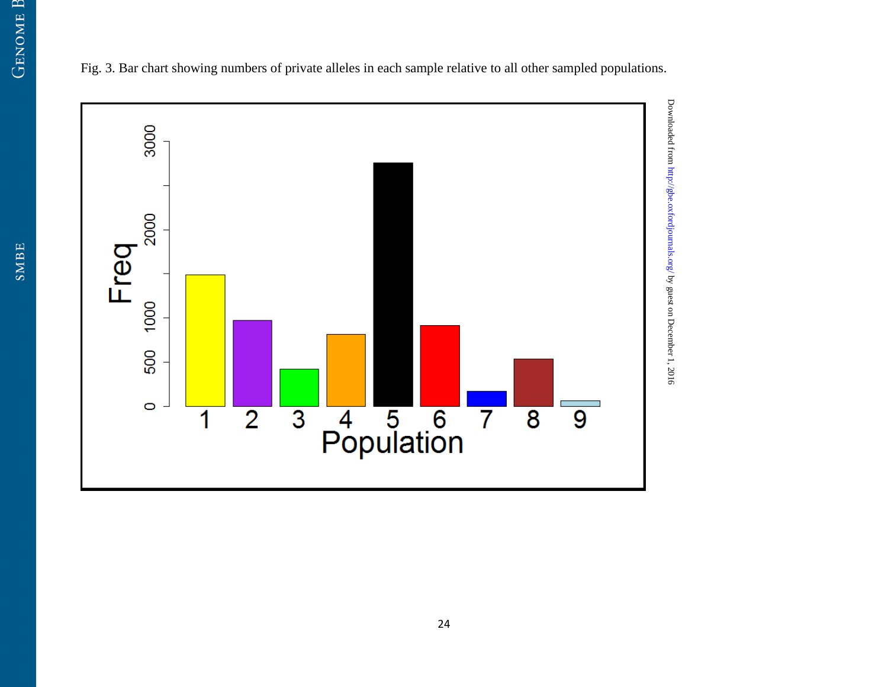3000



Fig. 3. Bar chart showing numbers of private alleles in each sample relative to all other sampled populations.

 $Downloaded from [http://gbec.oxfordiounals.org/ by guest on December 1, 2016](http://gbec.oxfordiounals.org/)$ 

Downloaded from http://gbe.oxfordjournals.org/ by guest on December 1, 2016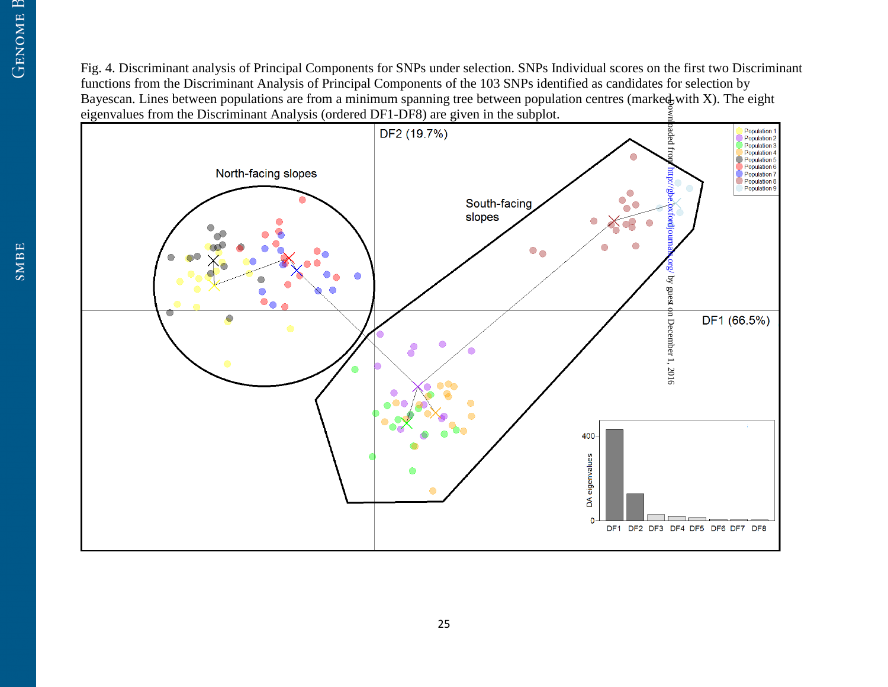Fig. 4. Discriminant analysis of Principal Components for SNPs under selection. SNPs Individual scores on the first two Discriminant functions from the Discriminant Analysis of Principal Components of the 103 SNPs identified as candidates for selection by Bayescan. Lines between populations are from a minimum spanning tree between population centres (marked with X). The eight eigenvalues from the Discriminant Analysis (ordered DF1-DF8) are given in the subplot.